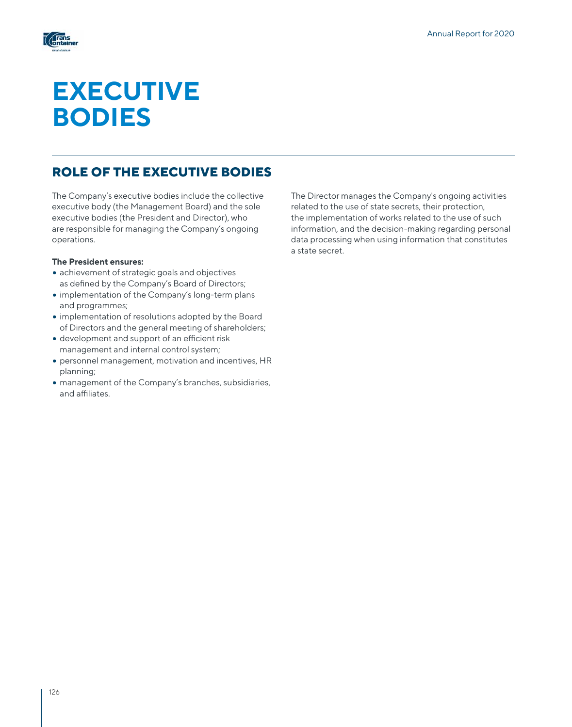

# **EXECUTIVE BODIES**

# **ROLE OF THE EXECUTIVE BODIES**

The Company's executive bodies include the collective executive body (the Management Board) and the sole executive bodies (the President and Director), who are responsible for managing the Company's ongoing operations.

#### **The President ensures:**

- achievement of strategic goals and objectives as defined by the Company's Board of Directors;
- implementation of the Company's long-term plans and programmes;
- implementation of resolutions adopted by the Board of Directors and the general meeting of shareholders;
- development and support of an efficient risk management and internal control system;
- personnel management, motivation and incentives, HR planning;
- management of the Company's branches, subsidiaries, and affiliates.

The Director manages the Company's ongoing activities related to the use of state secrets, their protection, the implementation of works related to the use of such information, and the decision-making regarding personal data processing when using information that constitutes a state secret.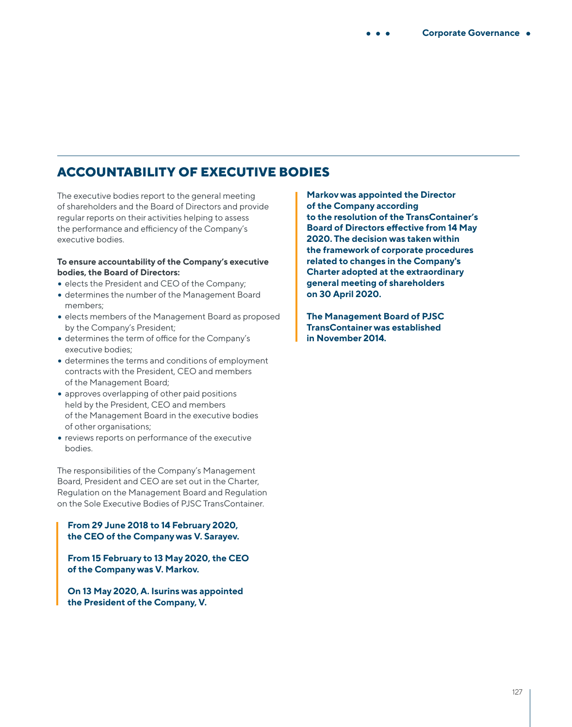# **ACCOUNTABILITY OF EXECUTIVE BODIES**

The executive bodies report to the general meeting of shareholders and the Board of Directors and provide regular reports on their activities helping to assess the performance and efficiency of the Company's executive bodies.

#### **To ensure accountability of the Company's executive bodies, the Board of Directors:**

- elects the President and CEO of the Company;
- determines the number of the Management Board members;
- elects members of the Management Board as proposed by the Company's President;
- determines the term of office for the Company's executive bodies;
- determines the terms and conditions of employment contracts with the President, CEO and members of the Management Board;
- approves overlapping of other paid positions held by the President, CEO and members of the Management Board in the executive bodies of other organisations;
- reviews reports on performance of the executive bodies.

The responsibilities of the Company's Management Board, President and CEO are set out in the Charter, Regulation on the Management Board and Regulation on the Sole Executive Bodies of PJSC TransContainer.

#### **From 29 June 2018 to 14 February 2020, the CEO of the Company was V. Sarayev.**

**From 15 February to 13 May 2020, the CEO of the Company was V. Markov.**

**On 13 May 2020, A. Isurins was appointed the President of the Company, V.** 

**Markov was appointed the Director of the Company according to the resolution of the TransContainer's Board of Directors effective from 14 May 2020. The decision was taken within the framework of corporate procedures related to changes in the Company's Charter adopted at the extraordinary general meeting of shareholders on 30 April 2020.**

**The Management Board of PJSC TransContainer was established in November 2014.**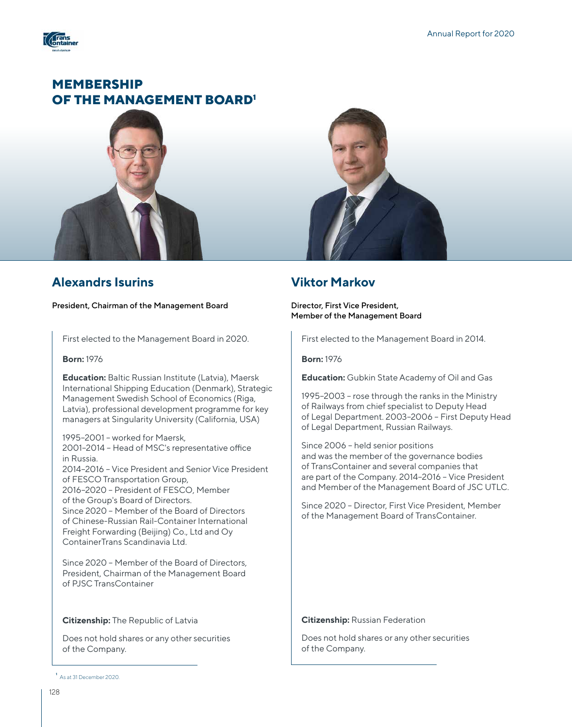

# **MEMBERSHIP OF THE MANAGEMENT BOARD<sup>1</sup>**



### **Alexandrs Isurins**

President, Chairman of the Management Board

First elected to the Management Board in 2020.

#### **Born:** 1976

**Education:** Baltic Russian Institute (Latvia), Maersk International Shipping Education (Denmark), Strategic Management Swedish School of Economics (Riga, Latvia), professional development programme for key managers at Singularity University (California, USA)

1995–2001 – worked for Maersk, 2001–2014 – Head of MSC's representative office in Russia. 2014–2016 – Vice President and Senior Vice President of FESCO Transportation Group, 2016–2020 – President of FESCO, Member of the Group's Board of Directors. Since 2020 – Member of the Board of Directors of Chinese-Russian Rail-Container International Freight Forwarding (Beijing) Co., Ltd and Oy ContainerTrans Scandinavia Ltd.

Since 2020 – Member of the Board of Directors, President, Chairman of the Management Board of PJSC TransContainer

#### **Citizenship:** The Republic of Latvia

Does not hold shares or any other securities of the Company.

#### **1** As at 31 December 2020.



### **Viktor Markov**

Director, First Vice President, Member of the Management Board

First elected to the Management Board in 2014.

#### **Born:** 1976

**Education:** Gubkin State Academy of Oil and Gas

1995–2003 – rose through the ranks in the Ministry of Railways from chief specialist to Deputy Head of Legal Department. 2003–2006 – First Deputy Head of Legal Department, Russian Railways.

Since 2006 – held senior positions and was the member of the governance bodies of TransContainer and several companies that are part of the Company. 2014–2016 – Vice President and Member of the Management Board of JSC UTLC.

Since 2020 – Director, First Vice President, Member of the Management Board of TransContainer.

#### **Citizenship:** Russian Federation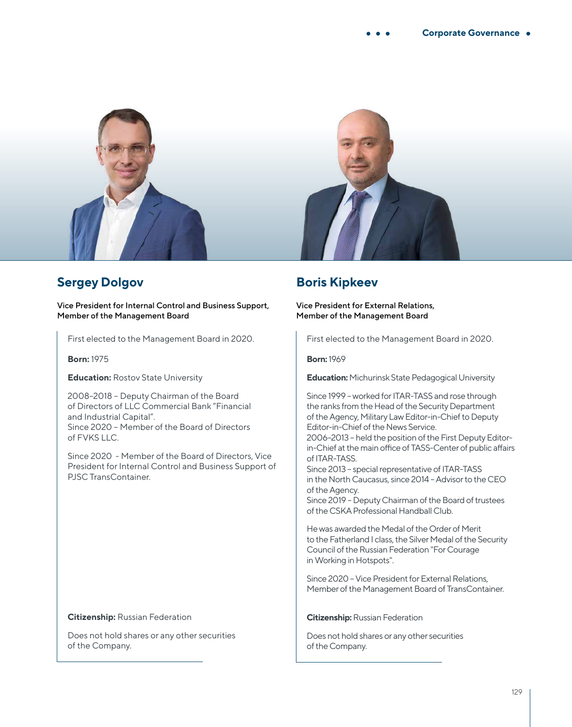

# **Sergey Dolgov**

Vice President for Internal Control and Business Support, Member of the Management Board

First elected to the Management Board in 2020.

**Born:** 1975

**Education: Rostov State University** 

2008–2018 – Deputy Chairman of the Board of Directors of LLC Commercial Bank "Financial and Industrial Capital". Since 2020 – Member of the Board of Directors of FVKS LLC.

Since 2020 - Member of the Board of Directors, Vice President for Internal Control and Business Support of PJSC TransContainer.

#### **Citizenship:** Russian Federation

Does not hold shares or any other securities of the Company.

### **Boris Kipkeev**

#### Vice President for External Relations, Member of the Management Board

First elected to the Management Board in 2020.

#### **Born:** 1969

**Education:** Michurinsk State Pedagogical University

Since 1999 – worked for ITAR-TASS and rose through the ranks from the Head of the Security Department of the Agency, Military Law Editor-in-Chief to Deputy Editor-in-Chief of the News Service.

2006–2013 – held the position of the First Deputy Editorin-Chief at the main office of TASS-Center of public affairs of ITAR-TASS.

Since 2013 – special representative of ITAR-TASS in the North Caucasus, since 2014 – Advisor to the CEO of the Agency.

Since 2019 – Deputy Chairman of the Board of trustees of the CSKA Professional Handball Club.

He was awarded the Medal of the Order of Merit to the Fatherland I class, the Silver Medal of the Security Council of the Russian Federation "For Courage in Working in Hotspots".

Since 2020 – Vice President for External Relations, Member of the Management Board of TransContainer.

#### **Citizenship:** Russian Federation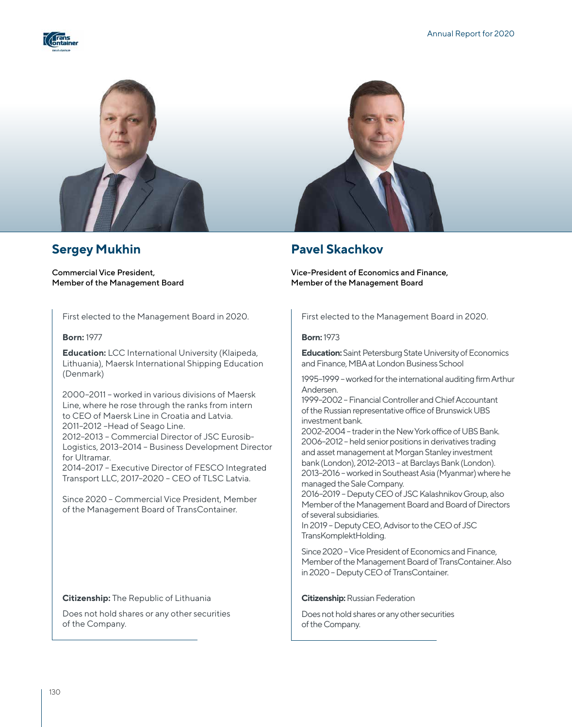



# **Sergey Mukhin**

Commercial Vice President, Member of the Management Board

First elected to the Management Board in 2020.

#### **Born:** 1977

**Education:** LCC International University (Klaipeda, Lithuania), Maersk International Shipping Education (Denmark)

2000–2011 – worked in various divisions of Maersk Line, where he rose through the ranks from intern to CEO of Maersk Line in Croatia and Latvia. 2011–2012 –Head of Seago Line. 2012–2013 – Commercial Director of JSC Eurosib-Logistics, 2013–2014 – Business Development Director for Ultramar.

2014–2017 – Executive Director of FESCO Integrated Transport LLC, 2017–2020 – CEO of TLSC Latvia.

Since 2020 – Commercial Vice President, Member of the Management Board of TransContainer.

#### **Citizenship:** The Republic of Lithuania

Does not hold shares or any other securities of the Company.



### **Pavel Skachkov**

Vice-President of Economics and Finance, Member of the Management Board

First elected to the Management Board in 2020.

#### **Born:** 1973

**Education:** Saint Petersburg State University of Economics and Finance, MBA at London Business School

1995–1999 – worked for the international auditing firm Arthur Andersen.

1999–2002 – Financial Controller and Chief Accountant of the Russian representative office of Brunswick UBS investment bank.

2002–2004 – trader in the New York office of UBS Bank. 2006–2012 – held senior positions in derivatives trading and asset management at Morgan Stanley investment bank (London), 2012–2013 – at Barclays Bank (London). 2013–2016 – worked in Southeast Asia (Myanmar) where he managed the Sale Company.

2016–2019 – Deputy CEO of JSC Kalashnikov Group, also Member of the Management Board and Board of Directors of several subsidiaries.

In 2019 – Deputy CEO, Advisor to the CEO of JSC TransKomplektHolding.

Since 2020 – Vice President of Economics and Finance, Member of the Management Board of TransContainer. Also in 2020 – Deputy CEO of TransContainer.

#### **Citizenship:** Russian Federation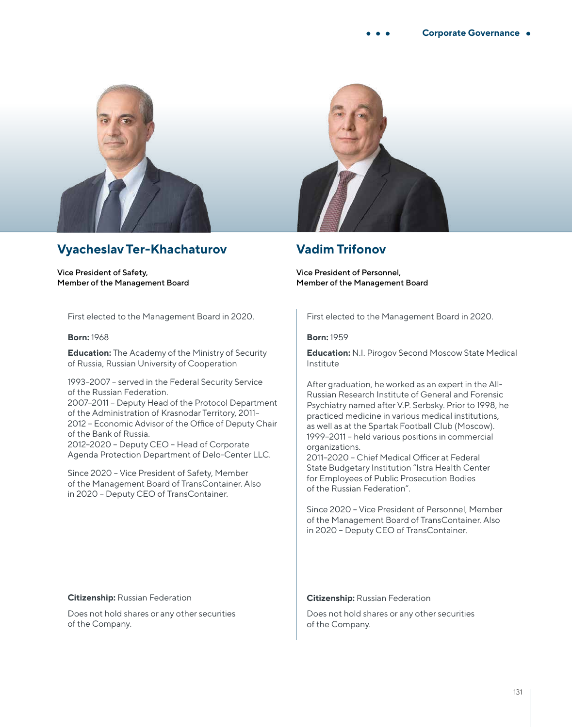

# **Vyacheslav Ter-Khachaturov**

Vice President of Safety, Member of the Management Board

First elected to the Management Board in 2020.

#### **Born:** 1968

**Education:** The Academy of the Ministry of Security of Russia, Russian University of Cooperation

1993–2007 – served in the Federal Security Service of the Russian Federation. 2007–2011 – Deputy Head of the Protocol Department of the Administration of Krasnodar Territory, 2011– 2012 – Economic Advisor of the Office of Deputy Chair of the Bank of Russia. 2012–2020 – Deputy CEO – Head of Corporate Agenda Protection Department of Delo-Center LLC.

Since 2020 – Vice President of Safety, Member of the Management Board of TransContainer. Also in 2020 – Deputy CEO of TransContainer.



### **Vadim Trifonov**

Vice President of Personnel, Member of the Management Board

First elected to the Management Board in 2020.

#### **Born:** 1959

**Education:** N.I. Pirogov Second Moscow State Medical Institute

After graduation, he worked as an expert in the All-Russian Research Institute of General and Forensic Psychiatry named after V.P. Serbsky. Prior to 1998, he practiced medicine in various medical institutions, as well as at the Spartak Football Club (Moscow). 1999–2011 – held various positions in commercial organizations.

2011–2020 – Chief Medical Officer at Federal State Budgetary Institution "Istra Health Center for Employees of Public Prosecution Bodies of the Russian Federation".

Since 2020 – Vice President of Personnel, Member of the Management Board of TransContainer. Also in 2020 – Deputy CEO of TransContainer.

#### **Citizenship:** Russian Federation

Does not hold shares or any other securities of the Company.

#### **Citizenship:** Russian Federation